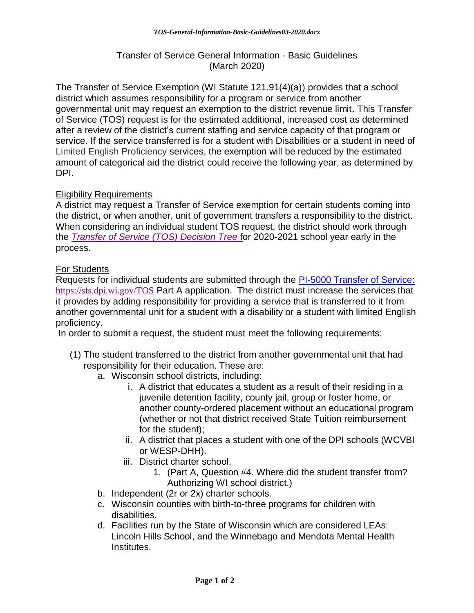## Transfer of Service General Information - Basic Guidelines (March 2020)

The Transfer of Service Exemption (WI Statute 121.91(4)(a)) provides that a school district which assumes responsibility for a program or service from another governmental unit may request an exemption to the district revenue limit. This Transfer of Service (TOS) request is for the estimated additional, increased cost as determined after a review of the district's current staffing and service capacity of that program or service. If the service transferred is for a student with Disabilities or a student in need of Limited English Proficiency services, the exemption will be reduced by the estimated amount of categorical aid the district could receive the following year, as determined by DPI.

## Eligibility Requirements

A district may request a Transfer of Service exemption for certain students coming into the district, or when another, unit of government transfers a responsibility to the district. When considering an individual student TOS request, the district should work through the *[Transfer of Service \(TOS\) Decision Tree](https://dpi.wi.gov/sites/default/files/imce/sfs/pdf/TOS-Flowchart-02-2020.docx)* for 2020-2021 school year early in the process.

## For Students

Requests for individual students are submitted through the [PI-5000 Transfer of Service:](:%20https:/sfs.dpi.wi.gov/TOS) <https://sfs.dpi.wi.gov/TOS> Part A application. The district must increase the services that it provides by adding responsibility for providing a service that is transferred to it from another governmental unit for a student with a disability or a student with limited English proficiency.

In order to submit a request, the student must meet the following requirements:

- (1) The student transferred to the district from another governmental unit that had responsibility for their education. These are:
	- a. Wisconsin school districts, including:
		- i. A district that educates a student as a result of their residing in a juvenile detention facility, county jail, group or foster home, or another county-ordered placement without an educational program (whether or not that district received State Tuition reimbursement for the student);
		- ii. A district that places a student with one of the DPI schools (WCVBI or WESP-DHH).
		- iii. District charter school.
			- 1. (Part A, Question #4. Where did the student transfer from? Authorizing WI school district.)
	- b. Independent (2r or 2x) charter schools.
	- c. Wisconsin counties with birth-to-three programs for children with disabilities.
	- d. Facilities run by the State of Wisconsin which are considered LEAs: Lincoln Hills School, and the Winnebago and Mendota Mental Health Institutes.